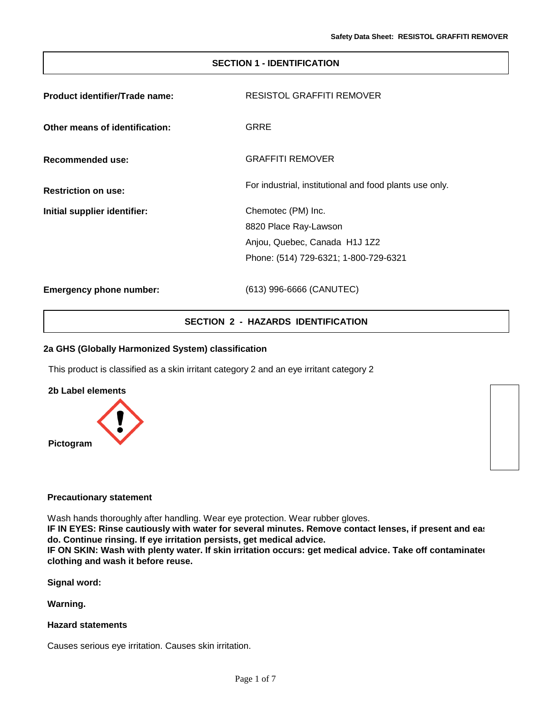## **SECTION 1 - IDENTIFICATION**

| Product identifier/Trade name: | RESISTOL GRAFFITI REMOVER                               |  |
|--------------------------------|---------------------------------------------------------|--|
| Other means of identification: | GRRE                                                    |  |
| Recommended use:               | <b>GRAFFITI REMOVER</b>                                 |  |
| <b>Restriction on use:</b>     | For industrial, institutional and food plants use only. |  |
| Initial supplier identifier:   | Chemotec (PM) Inc.                                      |  |
|                                | 8820 Place Ray-Lawson                                   |  |
|                                | Anjou, Quebec, Canada H1J 1Z2                           |  |
|                                | Phone: (514) 729-6321; 1-800-729-6321                   |  |
| <b>Emergency phone number:</b> | (613) 996-6666 (CANUTEC)                                |  |

## **SECTION 2 - HAZARDS IDENTIFICATION**

## **2a GHS (Globally Harmonized System) classification**

This product is classified as a skin irritant category 2 and an eye irritant category 2



#### **Precautionary statement**

Wash hands thoroughly after handling. Wear eye protection. Wear rubber gloves.

**IF IN EYES: Rinse cautiously with water for several minutes. Remove contact lenses, if present and easting the do. Continue rinsing. If eye irritation persists, get medical advice.**

**IF ON SKIN: Wash with plenty water. If skin irritation occurs: get medical advice. Take off contaminated clothing and wash it before reuse.**

**Signal word:**

**Warning.**

## **Hazard statements**

Causes serious eye irritation. Causes skin irritation.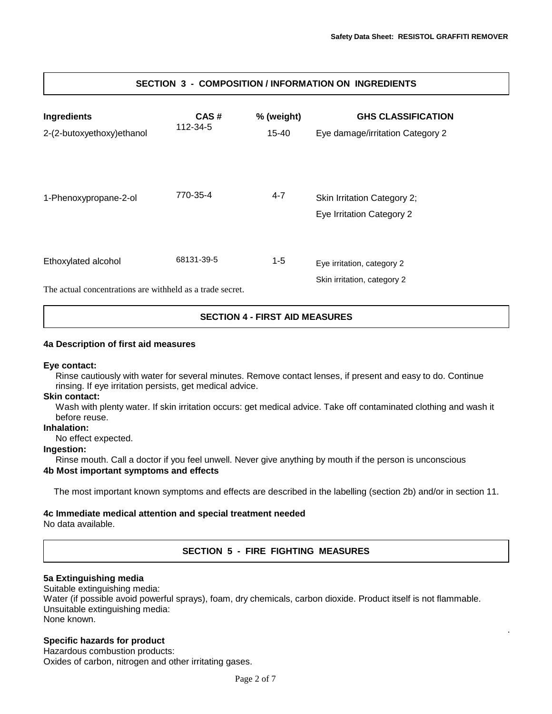.

| <b>Ingredients</b><br>2-(2-butoxyethoxy)ethanol                                  | CAS#<br>112-34-5 | % (weight)<br>15-40 | <b>GHS CLASSIFICATION</b><br>Eye damage/irritation Category 2 |
|----------------------------------------------------------------------------------|------------------|---------------------|---------------------------------------------------------------|
| 1-Phenoxypropane-2-ol                                                            | 770-35-4         | $4 - 7$             | Skin Irritation Category 2;<br>Eye Irritation Category 2      |
| Ethoxylated alcohol<br>The actual concentrations are withheld as a trade secret. | 68131-39-5       | $1 - 5$             | Eye irritation, category 2<br>Skin irritation, category 2     |

# **SECTION 3 - COMPOSITION / INFORMATION ON INGREDIENTS**

**SECTION 4 - FIRST AID MEASURES**

## **4a Description of first aid measures**

#### **Eye contact:**

Rinse cautiously with water for several minutes. Remove contact lenses, if present and easy to do. Continue rinsing. If eye irritation persists, get medical advice.

#### **Skin contact:**

Wash with plenty water. If skin irritation occurs: get medical advice. Take off contaminated clothing and wash it before reuse.

## **Inhalation:**

No effect expected.

## **Ingestion:**

Rinse mouth. Call a doctor if you feel unwell. Never give anything by mouth if the person is unconscious

## **4b Most important symptoms and effects**

The most important known symptoms and effects are described in the labelling (section 2b) and/or in section 11.

## **4c Immediate medical attention and special treatment needed**

No data available.

## **SECTION 5 - FIRE FIGHTING MEASURES**

## **5a Extinguishing media**

Suitable extinguishing media:

Water (if possible avoid powerful sprays), foam, dry chemicals, carbon dioxide. Product itself is not flammable. Unsuitable extinguishing media: None known.

## **Specific hazards for product**

Hazardous combustion products: Oxides of carbon, nitrogen and other irritating gases.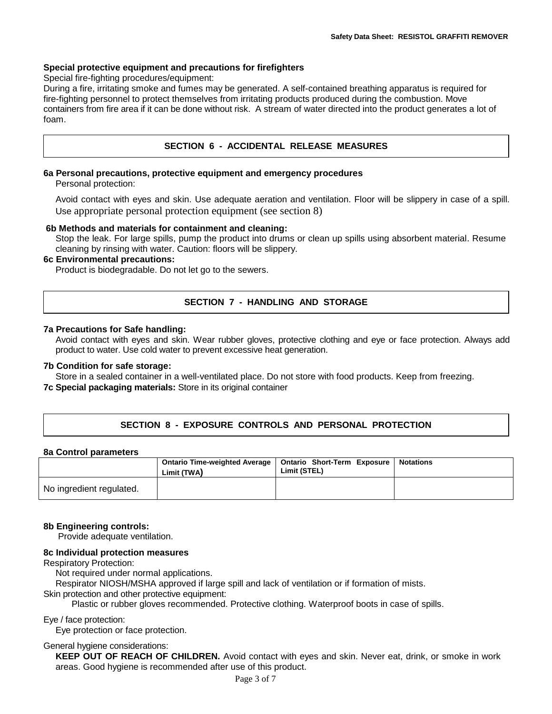## **Special protective equipment and precautions for firefighters**

Special fire-fighting procedures/equipment:

During a fire, irritating smoke and fumes may be generated. A self-contained breathing apparatus is required for fire-fighting personnel to protect themselves from irritating products produced during the combustion. Move containers from fire area if it can be done without risk. A stream of water directed into the product generates a lot of foam.

## **SECTION 6 - ACCIDENTAL RELEASE MEASURES**

#### **6a Personal precautions, protective equipment and emergency procedures**

Personal protection:

Avoid contact with eyes and skin. Use adequate aeration and ventilation. Floor will be slippery in case of a spill. Use appropriate personal protection equipment (see section 8)

#### **6b Methods and materials for containment and cleaning:**

Stop the leak. For large spills, pump the product into drums or clean up spills using absorbent material. Resume cleaning by rinsing with water. Caution: floors will be slippery.

## **6c Environmental precautions:**

Product is biodegradable. Do not let go to the sewers.

## **SECTION 7 - HANDLING AND STORAGE**

#### **7a Precautions for Safe handling:**

Avoid contact with eyes and skin. Wear rubber gloves, protective clothing and eye or face protection. Always add product to water. Use cold water to prevent excessive heat generation.

#### **7b Condition for safe storage:**

Store in a sealed container in a well-ventilated place. Do not store with food products. Keep from freezing.

## **7c Special packaging materials:** Store in its original container

## **SECTION 8 - EXPOSURE CONTROLS AND PERSONAL PROTECTION**

#### **8a Control parameters**

|                          | Limit (TWA) | Ontario Time-weighted Average   Ontario Short-Term Exposure  <br>Limit (STEL) | Notations |
|--------------------------|-------------|-------------------------------------------------------------------------------|-----------|
| No ingredient regulated. |             |                                                                               |           |

#### **8b Engineering controls:**

Provide adequate ventilation.

#### **8c Individual protection measures**

Respiratory Protection:

Not required under normal applications.

Respirator NIOSH/MSHA approved if large spill and lack of ventilation or if formation of mists.

Skin protection and other protective equipment:

Plastic or rubber gloves recommended. Protective clothing. Waterproof boots in case of spills.

#### Eye / face protection:

Eye protection or face protection.

General hygiene considerations:

**KEEP OUT OF REACH OF CHILDREN.** Avoid contact with eyes and skin. Never eat, drink, or smoke in work areas. Good hygiene is recommended after use of this product.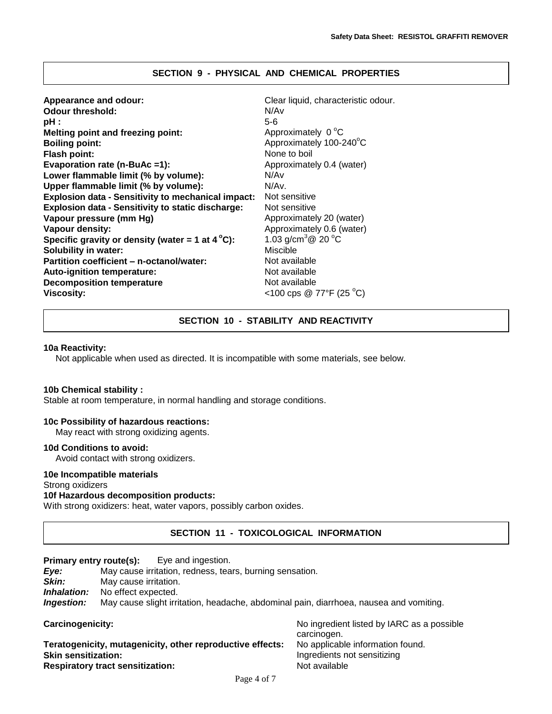## **SECTION 9 - PHYSICAL AND CHEMICAL PROPERTIES**

| Appearance and odour:<br><b>Odour threshold:</b><br>pH :<br><b>Melting point and freezing point:</b><br><b>Boiling point:</b><br><b>Flash point:</b><br>Evaporation rate (n-BuAc =1):<br>Lower flammable limit (% by volume):<br>Upper flammable limit (% by volume):<br><b>Explosion data - Sensitivity to mechanical impact:</b><br><b>Explosion data - Sensitivity to static discharge:</b><br>Vapour pressure (mm Hg)<br>Vapour density:<br>Specific gravity or density (water = 1 at $4^{\circ}$ C):<br>Solubility in water:<br>Partition coefficient - n-octanol/water:<br><b>Auto-ignition temperature:</b> | Clear liquid, characteristic odour.<br>N/Av<br>$5-6$<br>Approximately 0 °C<br>Approximately 100-240°C<br>None to boil<br>Approximately 0.4 (water)<br>N/Av<br>N/Av.<br>Not sensitive<br>Not sensitive<br>Approximately 20 (water)<br>Approximately 0.6 (water)<br>1.03 g/cm <sup>3</sup> $@$ 20 °C<br>Miscible<br>Not available<br>Not available<br>Not available |
|--------------------------------------------------------------------------------------------------------------------------------------------------------------------------------------------------------------------------------------------------------------------------------------------------------------------------------------------------------------------------------------------------------------------------------------------------------------------------------------------------------------------------------------------------------------------------------------------------------------------|-------------------------------------------------------------------------------------------------------------------------------------------------------------------------------------------------------------------------------------------------------------------------------------------------------------------------------------------------------------------|
| <b>Decomposition temperature</b><br><b>Viscosity:</b>                                                                                                                                                                                                                                                                                                                                                                                                                                                                                                                                                              | <100 cps @ 77°F (25 °C)                                                                                                                                                                                                                                                                                                                                           |
|                                                                                                                                                                                                                                                                                                                                                                                                                                                                                                                                                                                                                    |                                                                                                                                                                                                                                                                                                                                                                   |

## **SECTION 10 - STABILITY AND REACTIVITY**

#### **10a Reactivity:**

Not applicable when used as directed. It is incompatible with some materials, see below.

#### **10b Chemical stability :**

Stable at room temperature, in normal handling and storage conditions.

## **10c Possibility of hazardous reactions:**

May react with strong oxidizing agents.

## **10d Conditions to avoid:**

Avoid contact with strong oxidizers.

## **10e Incompatible materials**

## Strong oxidizers

# **10f Hazardous decomposition product***s***:**

With strong oxidizers: heat, water vapors, possibly carbon oxides.

# **SECTION 11 - TOXICOLOGICAL INFORMATION**

| Eye and ingestion.<br>Primary entry route(s):                                                 |                                                                                        |                                                           |  |  |  |
|-----------------------------------------------------------------------------------------------|----------------------------------------------------------------------------------------|-----------------------------------------------------------|--|--|--|
| May cause irritation, redness, tears, burning sensation.<br>Eye:                              |                                                                                        |                                                           |  |  |  |
| Skin:                                                                                         | May cause irritation.                                                                  |                                                           |  |  |  |
| Inhalation:                                                                                   | No effect expected.                                                                    |                                                           |  |  |  |
| Ingestion:                                                                                    | May cause slight irritation, headache, abdominal pain, diarrhoea, nausea and vomiting. |                                                           |  |  |  |
| Carcinogenicity:                                                                              |                                                                                        | No ingredient listed by IARC as a possible<br>carcinogen. |  |  |  |
| No applicable information found.<br>Teratogenicity, mutagenicity, other reproductive effects: |                                                                                        |                                                           |  |  |  |
| <b>Skin sensitization:</b>                                                                    |                                                                                        | Ingredients not sensitizing                               |  |  |  |

#### **Respiratory tract sensitization:** Not available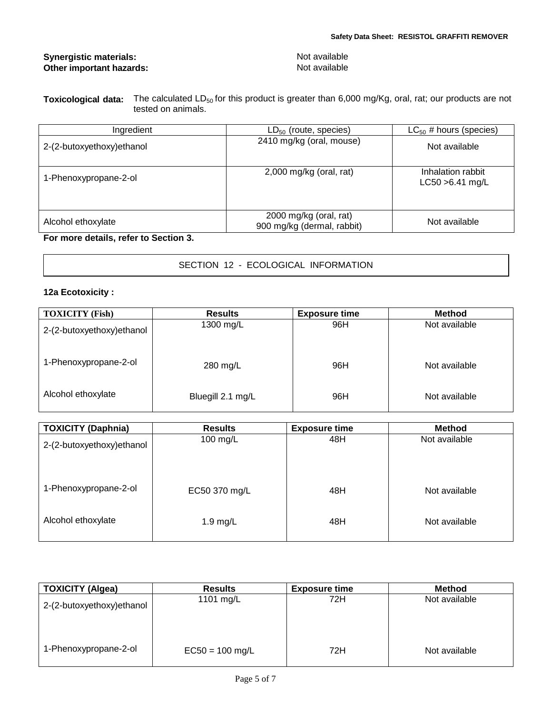## **Synergistic materials:** Not available **Other important hazards:** Not available

| <b>Toxicological data:</b> | The calculated $LD_{50}$ for this product is greater than 6,000 mg/Kg, oral, rat; our products are not |
|----------------------------|--------------------------------------------------------------------------------------------------------|
|                            | tested on animals.                                                                                     |

| Ingredient                 | $LD_{50}$ (route, species)                           | $LC_{50}$ # hours (species)             |
|----------------------------|------------------------------------------------------|-----------------------------------------|
| 2-(2-butoxyethoxy) ethanol | 2410 mg/kg (oral, mouse)                             | Not available                           |
| 1-Phenoxypropane-2-ol      | $2,000$ mg/kg (oral, rat)                            | Inhalation rabbit<br>$LC50 > 6.41$ mg/L |
| Alcohol ethoxylate         | 2000 mg/kg (oral, rat)<br>900 mg/kg (dermal, rabbit) | Not available                           |

**For more details, refer to Section 3.**

|  |  | SECTION 12 - ECOLOGICAL INFORMATION |
|--|--|-------------------------------------|
|--|--|-------------------------------------|

# **12a Ecotoxicity :**

| <b>TOXICITY (Fish)</b>     | <b>Results</b>    | <b>Exposure time</b> | <b>Method</b> |
|----------------------------|-------------------|----------------------|---------------|
| 2-(2-butoxyethoxy) ethanol | 1300 mg/L         | 96H                  | Not available |
| 1-Phenoxypropane-2-ol      | 280 mg/L          | 96H                  | Not available |
| Alcohol ethoxylate         | Bluegill 2.1 mg/L | 96H                  | Not available |

| <b>TOXICITY (Daphnia)</b> | <b>Results</b> | <b>Exposure time</b> | <b>Method</b> |
|---------------------------|----------------|----------------------|---------------|
| 2-(2-butoxyethoxy)ethanol | 100 mg/L       | 48H                  | Not available |
| 1-Phenoxypropane-2-ol     | EC50 370 mg/L  | 48H                  | Not available |
| Alcohol ethoxylate        | $1.9$ mg/L     | 48H                  | Not available |

| <b>TOXICITY (Algea)</b>   | <b>Results</b>    | <b>Exposure time</b> | <b>Method</b> |
|---------------------------|-------------------|----------------------|---------------|
| 2-(2-butoxyethoxy)ethanol | 1101 mg/L         | 72H                  | Not available |
| 1-Phenoxypropane-2-ol     | $EC50 = 100$ mg/L | 72H                  | Not available |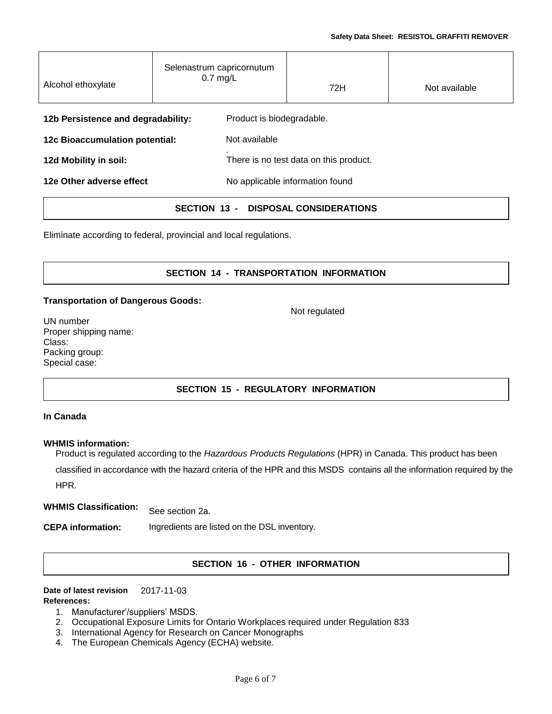| Alcohol ethoxylate                 | Selenastrum capricornutum<br>$0.7$ mg/L |                                        | 72H | Not available |
|------------------------------------|-----------------------------------------|----------------------------------------|-----|---------------|
| 12b Persistence and degradability: |                                         | Product is biodegradable.              |     |               |
| 12c Bioaccumulation potential:     |                                         | Not available                          |     |               |
| 12d Mobility in soil:              |                                         | There is no test data on this product. |     |               |
| 12e Other adverse effect           |                                         | No applicable information found        |     |               |
|                                    |                                         |                                        |     |               |

**SECTION 13 - DISPOSAL CONSIDERATIONS**

Eliminate according to federal, provincial and local regulations.

# **SECTION 14 - TRANSPORTATION INFORMATION**

Not regulated

## **Transportation of Dangerous Goods:**

UN number Proper shipping name: Class: Packing group: Special case:

# **SECTION 15 - REGULATORY INFORMATION**

## **In Canada**

## **WHMIS information:**

Product is regulated according to the *Hazardous Products Regulations* (HPR) in Canada. This product has been classified in accordance with the hazard criteria of the HPR and this MSDS contains all the information required by the HPR.

**WHMIS Classification:** See section 2a.

**CEPA information:** Ingredients are listed on the DSL inventory.

# **SECTION 16 - OTHER INFORMATION**

#### **Date of latest revision** 2017-11-03 **References:**

- 1. Manufacturer'/suppliers' MSDS.
- 2. Occupational Exposure Limits for Ontario Workplaces required under Regulation 833
- 3. International Agency for Research on Cancer Monographs
- 4. The European Chemicals Agency (ECHA) website.